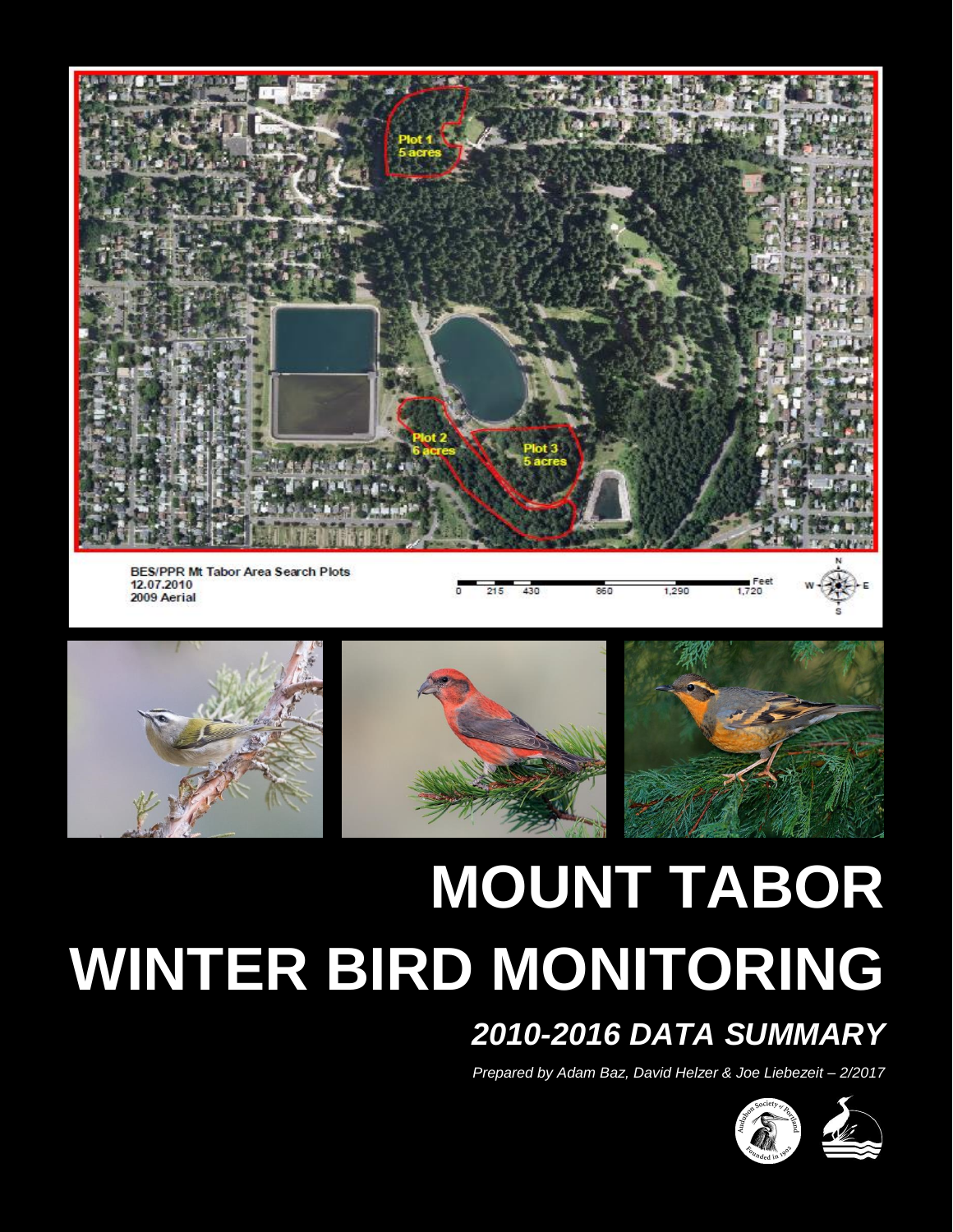

**BES/PPR Mt Tabor Area Search Plots** 12.07.2010 2009 Aerial

 $215$ 430 860 Feet<br>1,720







# **MOUNT TABOR WINTER BIRD MONITORING**

## *2010-2016 DATA SUMMARY*

1,290

*Prepared by Adam Baz, David Helzer & Joe Liebezeit – 2/2017*

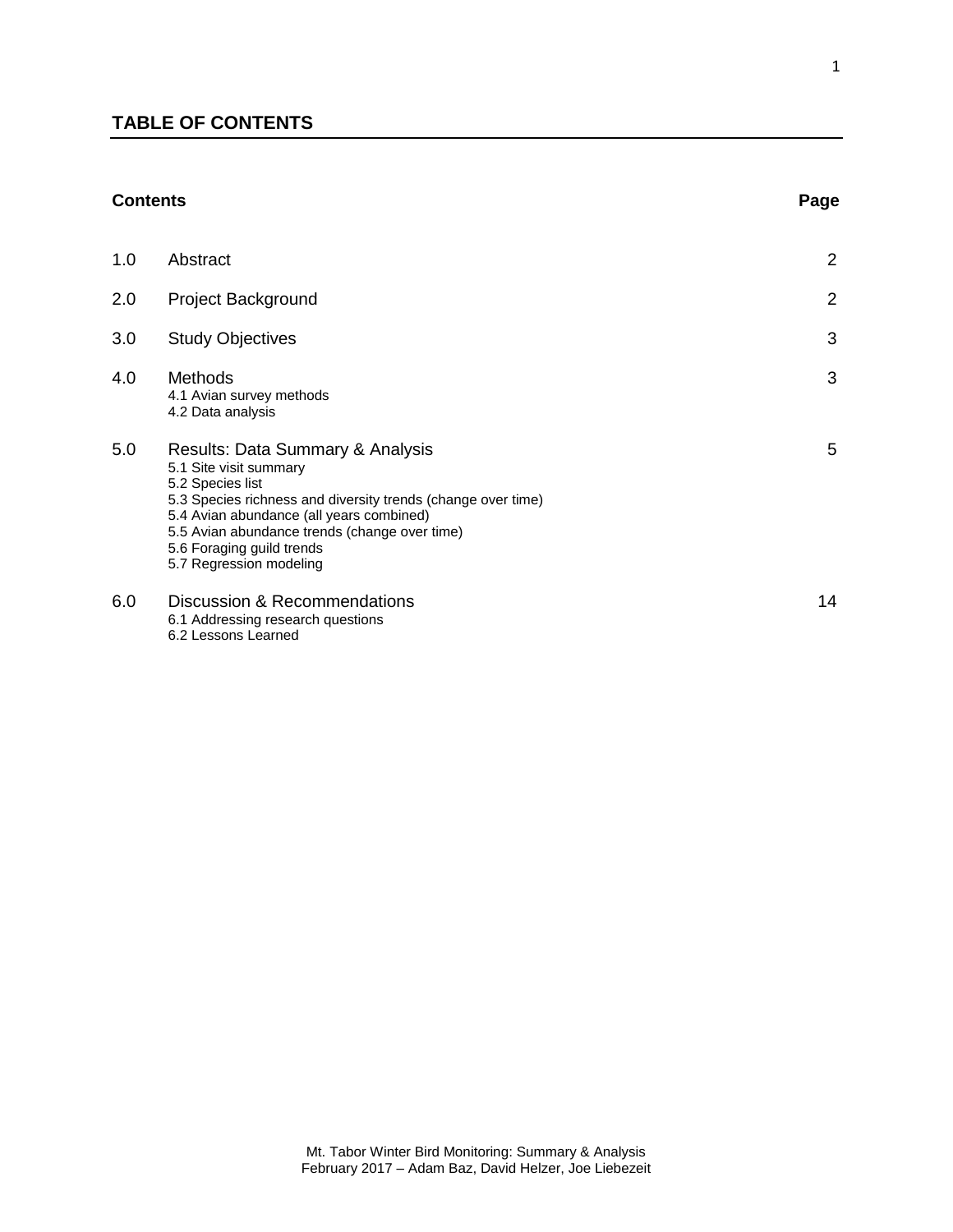### **TABLE OF CONTENTS**

#### **Contents Page**

| 1.0 | Abstract                                                                                                                                                                                                                                                                                            | $\overline{2}$ |
|-----|-----------------------------------------------------------------------------------------------------------------------------------------------------------------------------------------------------------------------------------------------------------------------------------------------------|----------------|
| 2.0 | <b>Project Background</b>                                                                                                                                                                                                                                                                           | $\overline{2}$ |
| 3.0 | <b>Study Objectives</b>                                                                                                                                                                                                                                                                             | 3              |
| 4.0 | Methods<br>4.1 Avian survey methods<br>4.2 Data analysis                                                                                                                                                                                                                                            | 3              |
| 5.0 | Results: Data Summary & Analysis<br>5.1 Site visit summary<br>5.2 Species list<br>5.3 Species richness and diversity trends (change over time)<br>5.4 Avian abundance (all years combined)<br>5.5 Avian abundance trends (change over time)<br>5.6 Foraging guild trends<br>5.7 Regression modeling | 5              |
| 6.0 | Discussion & Recommendations<br>6.1 Addressing research questions<br>6.2 Lessons Learned                                                                                                                                                                                                            | 14             |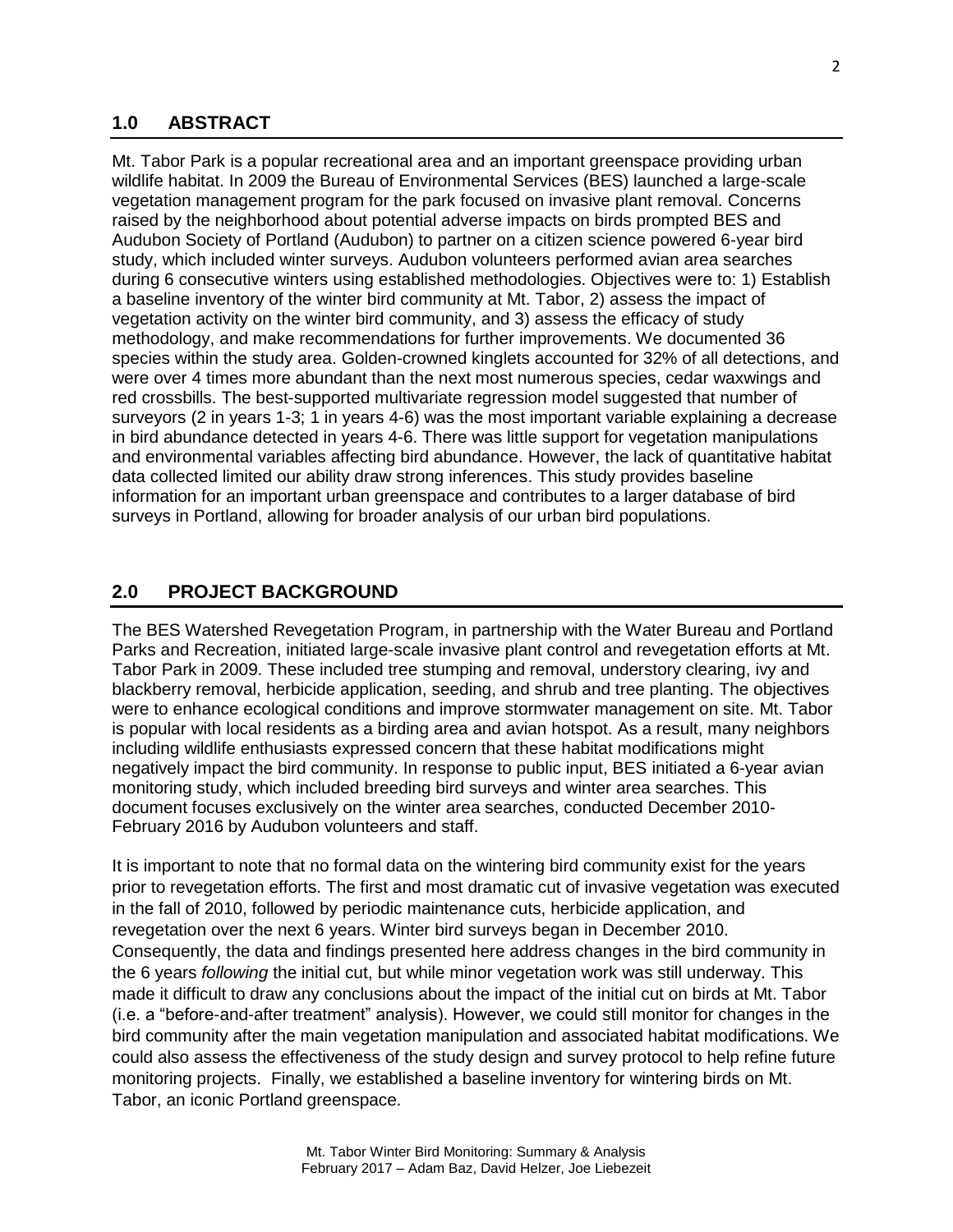#### **1.0 ABSTRACT**

Mt. Tabor Park is a popular recreational area and an important greenspace providing urban wildlife habitat. In 2009 the Bureau of Environmental Services (BES) launched a large-scale vegetation management program for the park focused on invasive plant removal. Concerns raised by the neighborhood about potential adverse impacts on birds prompted BES and Audubon Society of Portland (Audubon) to partner on a citizen science powered 6-year bird study, which included winter surveys. Audubon volunteers performed avian area searches during 6 consecutive winters using established methodologies. Objectives were to: 1) Establish a baseline inventory of the winter bird community at Mt. Tabor, 2) assess the impact of vegetation activity on the winter bird community, and 3) assess the efficacy of study methodology, and make recommendations for further improvements. We documented 36 species within the study area. Golden-crowned kinglets accounted for 32% of all detections, and were over 4 times more abundant than the next most numerous species, cedar waxwings and red crossbills. The best-supported multivariate regression model suggested that number of surveyors (2 in years 1-3; 1 in years 4-6) was the most important variable explaining a decrease in bird abundance detected in years 4-6. There was little support for vegetation manipulations and environmental variables affecting bird abundance. However, the lack of quantitative habitat data collected limited our ability draw strong inferences. This study provides baseline information for an important urban greenspace and contributes to a larger database of bird surveys in Portland, allowing for broader analysis of our urban bird populations.

#### **2.0 PROJECT BACKGROUND**

The BES Watershed Revegetation Program, in partnership with the Water Bureau and Portland Parks and Recreation, initiated large-scale invasive plant control and revegetation efforts at Mt. Tabor Park in 2009. These included tree stumping and removal, understory clearing, ivy and blackberry removal, herbicide application, seeding, and shrub and tree planting. The objectives were to enhance ecological conditions and improve stormwater management on site. Mt. Tabor is popular with local residents as a birding area and avian hotspot. As a result, many neighbors including wildlife enthusiasts expressed concern that these habitat modifications might negatively impact the bird community. In response to public input, BES initiated a 6-year avian monitoring study, which included breeding bird surveys and winter area searches. This document focuses exclusively on the winter area searches, conducted December 2010- February 2016 by Audubon volunteers and staff.

It is important to note that no formal data on the wintering bird community exist for the years prior to revegetation efforts. The first and most dramatic cut of invasive vegetation was executed in the fall of 2010, followed by periodic maintenance cuts, herbicide application, and revegetation over the next 6 years. Winter bird surveys began in December 2010. Consequently, the data and findings presented here address changes in the bird community in the 6 years *following* the initial cut, but while minor vegetation work was still underway. This made it difficult to draw any conclusions about the impact of the initial cut on birds at Mt. Tabor (i.e. a "before-and-after treatment" analysis). However, we could still monitor for changes in the bird community after the main vegetation manipulation and associated habitat modifications. We could also assess the effectiveness of the study design and survey protocol to help refine future monitoring projects. Finally, we established a baseline inventory for wintering birds on Mt. Tabor, an iconic Portland greenspace.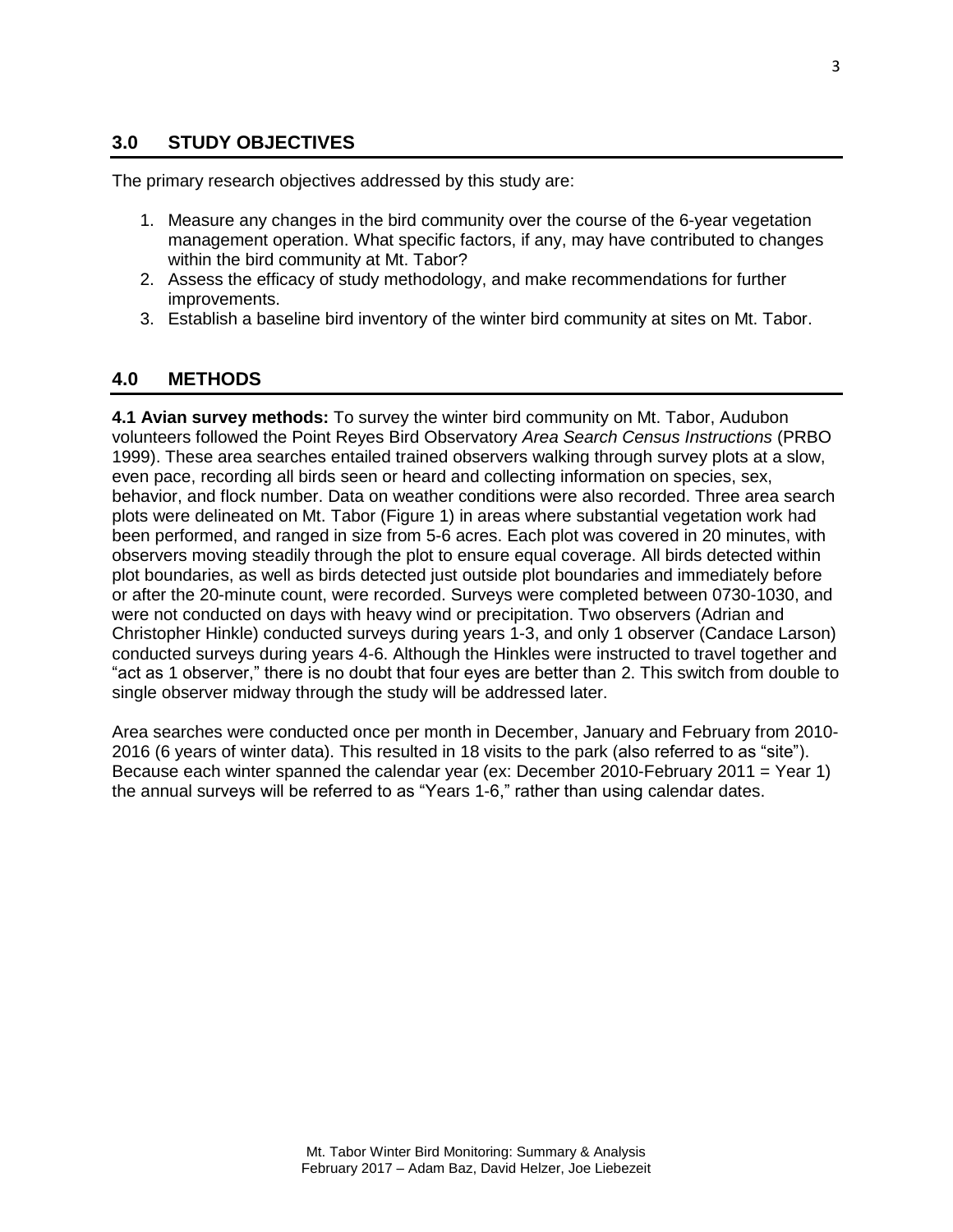#### **3.0 STUDY OBJECTIVES**

The primary research objectives addressed by this study are:

- 1. Measure any changes in the bird community over the course of the 6-year vegetation management operation. What specific factors, if any, may have contributed to changes within the bird community at Mt. Tabor?
- 2. Assess the efficacy of study methodology, and make recommendations for further improvements.
- 3. Establish a baseline bird inventory of the winter bird community at sites on Mt. Tabor.

#### **4.0 METHODS**

**4.1 Avian survey methods:** To survey the winter bird community on Mt. Tabor, Audubon volunteers followed the Point Reyes Bird Observatory *Area Search Census Instructions* (PRBO 1999). These area searches entailed trained observers walking through survey plots at a slow, even pace, recording all birds seen or heard and collecting information on species, sex, behavior, and flock number. Data on weather conditions were also recorded. Three area search plots were delineated on Mt. Tabor (Figure 1) in areas where substantial vegetation work had been performed, and ranged in size from 5-6 acres. Each plot was covered in 20 minutes, with observers moving steadily through the plot to ensure equal coverage. All birds detected within plot boundaries, as well as birds detected just outside plot boundaries and immediately before or after the 20-minute count, were recorded. Surveys were completed between 0730-1030, and were not conducted on days with heavy wind or precipitation. Two observers (Adrian and Christopher Hinkle) conducted surveys during years 1-3, and only 1 observer (Candace Larson) conducted surveys during years 4-6. Although the Hinkles were instructed to travel together and "act as 1 observer," there is no doubt that four eyes are better than 2. This switch from double to single observer midway through the study will be addressed later.

Area searches were conducted once per month in December, January and February from 2010- 2016 (6 years of winter data). This resulted in 18 visits to the park (also referred to as "site"). Because each winter spanned the calendar year (ex: December 2010-February 2011 = Year 1) the annual surveys will be referred to as "Years 1-6," rather than using calendar dates.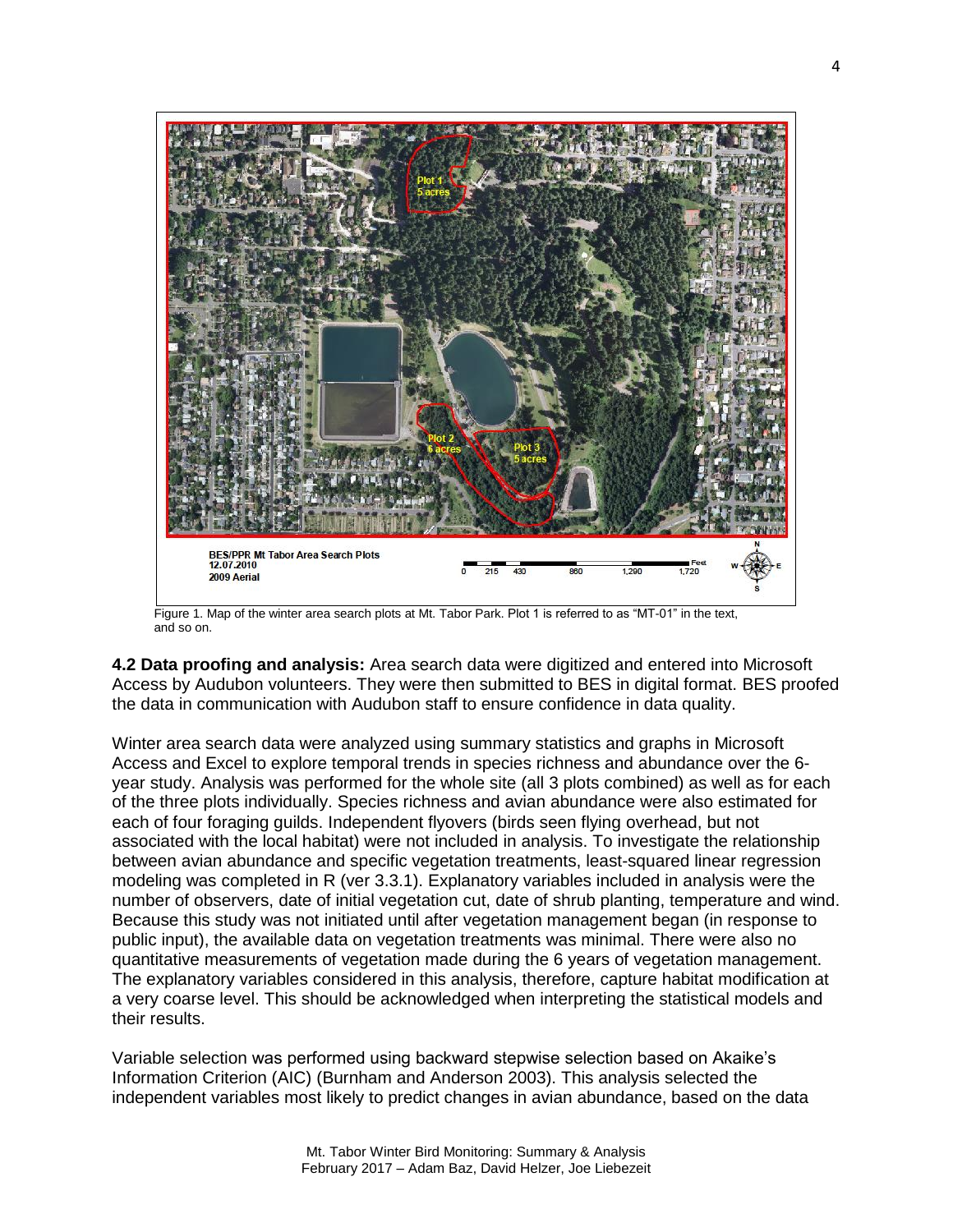

Figure 1. Map of the winter area search plots at Mt. Tabor Park. Plot 1 is referred to as "MT-01" in the text, and so on.

**4.2 Data proofing and analysis:** Area search data were digitized and entered into Microsoft Access by Audubon volunteers. They were then submitted to BES in digital format. BES proofed the data in communication with Audubon staff to ensure confidence in data quality.

Winter area search data were analyzed using summary statistics and graphs in Microsoft Access and Excel to explore temporal trends in species richness and abundance over the 6 year study. Analysis was performed for the whole site (all 3 plots combined) as well as for each of the three plots individually. Species richness and avian abundance were also estimated for each of four foraging guilds. Independent flyovers (birds seen flying overhead, but not associated with the local habitat) were not included in analysis. To investigate the relationship between avian abundance and specific vegetation treatments, least-squared linear regression modeling was completed in R (ver 3.3.1). Explanatory variables included in analysis were the number of observers, date of initial vegetation cut, date of shrub planting, temperature and wind. Because this study was not initiated until after vegetation management began (in response to public input), the available data on vegetation treatments was minimal. There were also no quantitative measurements of vegetation made during the 6 years of vegetation management. The explanatory variables considered in this analysis, therefore, capture habitat modification at a very coarse level. This should be acknowledged when interpreting the statistical models and their results.

Variable selection was performed using backward stepwise selection based on Akaike's Information Criterion (AIC) (Burnham and Anderson 2003). This analysis selected the independent variables most likely to predict changes in avian abundance, based on the data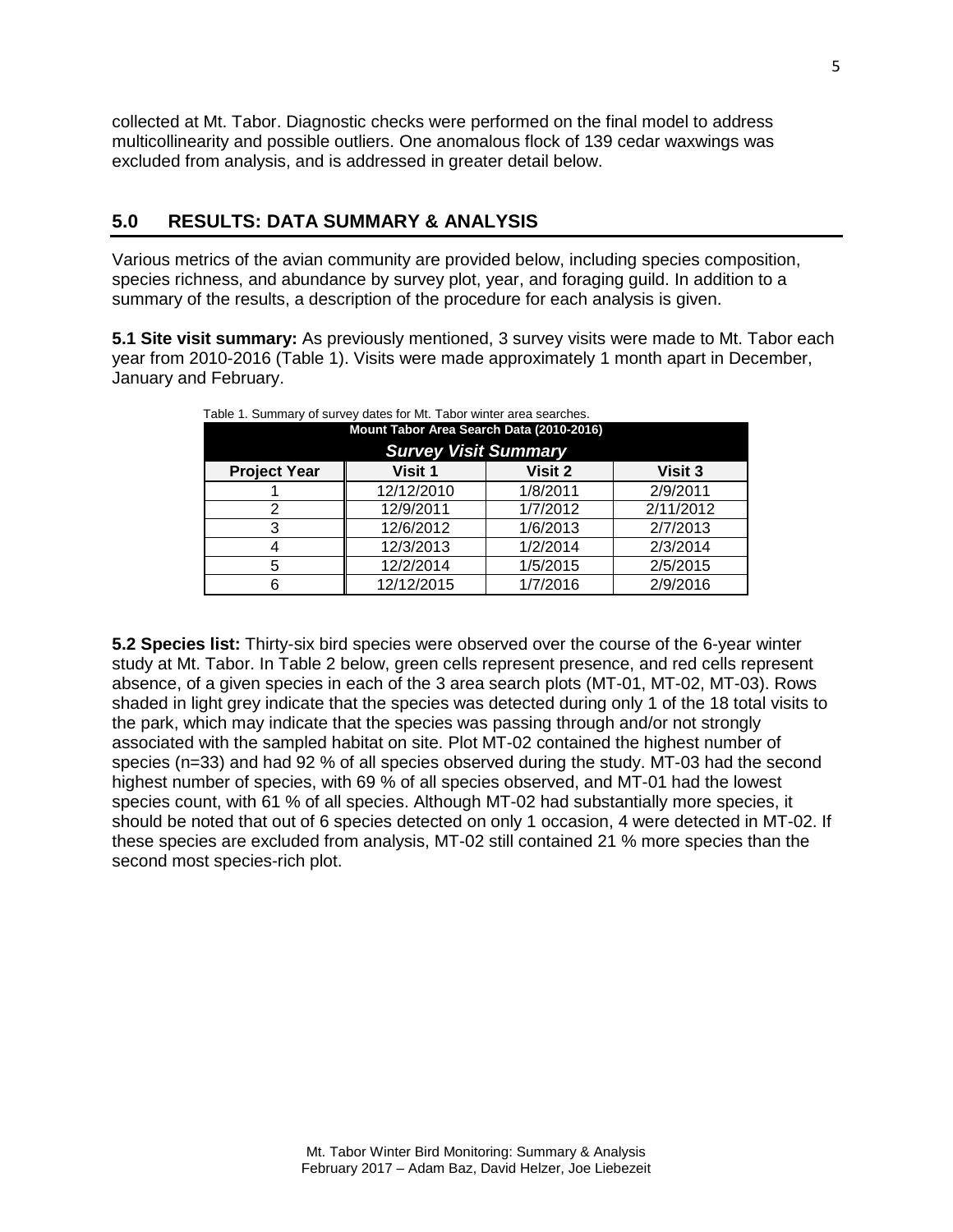collected at Mt. Tabor. Diagnostic checks were performed on the final model to address multicollinearity and possible outliers. One anomalous flock of 139 cedar waxwings was excluded from analysis, and is addressed in greater detail below.

#### **5.0 RESULTS: DATA SUMMARY & ANALYSIS**

Various metrics of the avian community are provided below, including species composition, species richness, and abundance by survey plot, year, and foraging guild. In addition to a summary of the results, a description of the procedure for each analysis is given.

**5.1 Site visit summary:** As previously mentioned, 3 survey visits were made to Mt. Tabor each year from 2010-2016 (Table 1). Visits were made approximately 1 month apart in December, January and February.

| Mount Tabor Area Search Data (2010-2016)             |            |          |           |  |
|------------------------------------------------------|------------|----------|-----------|--|
| <b>Survey Visit Summary</b>                          |            |          |           |  |
| Visit 1<br>Visit 2<br>Visit 3<br><b>Project Year</b> |            |          |           |  |
|                                                      | 12/12/2010 | 1/8/2011 | 2/9/2011  |  |
|                                                      | 12/9/2011  | 1/7/2012 | 2/11/2012 |  |
|                                                      | 12/6/2012  | 1/6/2013 | 2/7/2013  |  |
|                                                      | 12/3/2013  | 1/2/2014 | 2/3/2014  |  |
| 5                                                    | 12/2/2014  | 1/5/2015 | 2/5/2015  |  |
|                                                      | 12/12/2015 | 1/7/2016 | 2/9/2016  |  |

Table 1. Summary of survey dates for Mt. Tabor winter area searches.

**5.2 Species list:** Thirty-six bird species were observed over the course of the 6-year winter study at Mt. Tabor. In Table 2 below, green cells represent presence, and red cells represent absence, of a given species in each of the 3 area search plots (MT-01, MT-02, MT-03). Rows shaded in light grey indicate that the species was detected during only 1 of the 18 total visits to the park, which may indicate that the species was passing through and/or not strongly associated with the sampled habitat on site. Plot MT-02 contained the highest number of species (n=33) and had 92 % of all species observed during the study. MT-03 had the second highest number of species, with 69 % of all species observed, and MT-01 had the lowest species count, with 61 % of all species. Although MT-02 had substantially more species, it should be noted that out of 6 species detected on only 1 occasion, 4 were detected in MT-02. If these species are excluded from analysis, MT-02 still contained 21 % more species than the second most species-rich plot.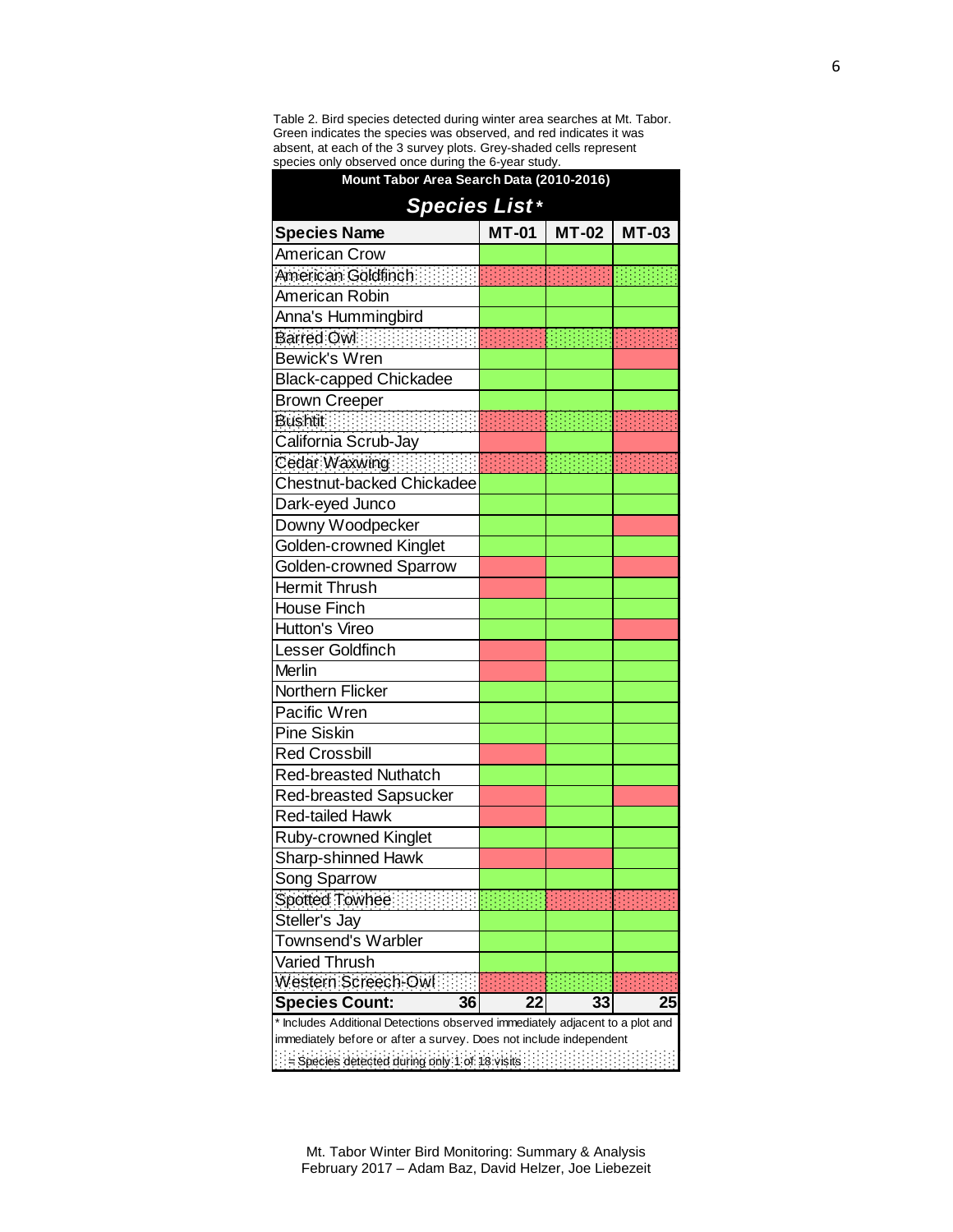Table 2. Bird species detected during winter area searches at Mt. Tabor. Green indicates the species was observed, and red indicates it was absent, at each of the 3 survey plots. Grey-shaded cells represent species only observed once during the 6-year study.

| Mount Tabor Area Search Data (2010-2016)                                     |              |       |              |  |
|------------------------------------------------------------------------------|--------------|-------|--------------|--|
| <b>Species List*</b>                                                         |              |       |              |  |
| <b>Species Name</b>                                                          | <b>MT-01</b> | MT-02 | <b>MT-03</b> |  |
| <b>American Crow</b>                                                         |              |       |              |  |
| American Goldfinch                                                           |              |       |              |  |
| American Robin                                                               |              |       |              |  |
| Anna's Hummingbird                                                           |              |       |              |  |
| Barred Owl <b>Service State</b>                                              |              |       |              |  |
| <b>Bewick's Wren</b>                                                         |              |       |              |  |
| <b>Black-capped Chickadee</b>                                                |              |       |              |  |
| <b>Brown Creeper</b>                                                         |              |       |              |  |
| <b>Bushtit</b>                                                               |              |       |              |  |
| California Scrub-Jay                                                         |              |       |              |  |
| Cedar Waxwing                                                                |              |       |              |  |
| Chestnut-backed Chickadee                                                    |              |       |              |  |
| Dark-eyed Junco                                                              |              |       |              |  |
| Downy Woodpecker                                                             |              |       |              |  |
| Golden-crowned Kinglet                                                       |              |       |              |  |
| <b>Golden-crowned Sparrow</b>                                                |              |       |              |  |
| <b>Hermit Thrush</b>                                                         |              |       |              |  |
| <b>House Finch</b>                                                           |              |       |              |  |
| Hutton's Vireo                                                               |              |       |              |  |
| Lesser Goldfinch                                                             |              |       |              |  |
| Merlin                                                                       |              |       |              |  |
| Northern Flicker                                                             |              |       |              |  |
| Pacific Wren                                                                 |              |       |              |  |
| <b>Pine Siskin</b>                                                           |              |       |              |  |
| <b>Red Crossbill</b>                                                         |              |       |              |  |
| <b>Red-breasted Nuthatch</b>                                                 |              |       |              |  |
| <b>Red-breasted Sapsucker</b>                                                |              |       |              |  |
| <b>Red-tailed Hawk</b>                                                       |              |       |              |  |
| Ruby-crowned Kinglet                                                         |              |       |              |  |
| <b>Sharp-shinned Hawk</b>                                                    |              |       |              |  |
| Song Sparrow                                                                 |              |       |              |  |
| Spotted Towhee                                                               |              |       |              |  |
| Steller's Jay                                                                |              |       |              |  |
| <b>Townsend's Warbler</b>                                                    |              |       |              |  |
| Varied Thrush                                                                |              |       |              |  |
| Western Screech-Owl                                                          |              |       |              |  |
| <b>Species Count:</b><br>36                                                  | 22           | 33    | 25           |  |
| * Includes Additional Detections observed immediately adjacent to a plot and |              |       |              |  |
| immediately before or after a survey. Does not include independent           |              |       |              |  |
| Species detected during only 1 of 18 visits                                  |              |       |              |  |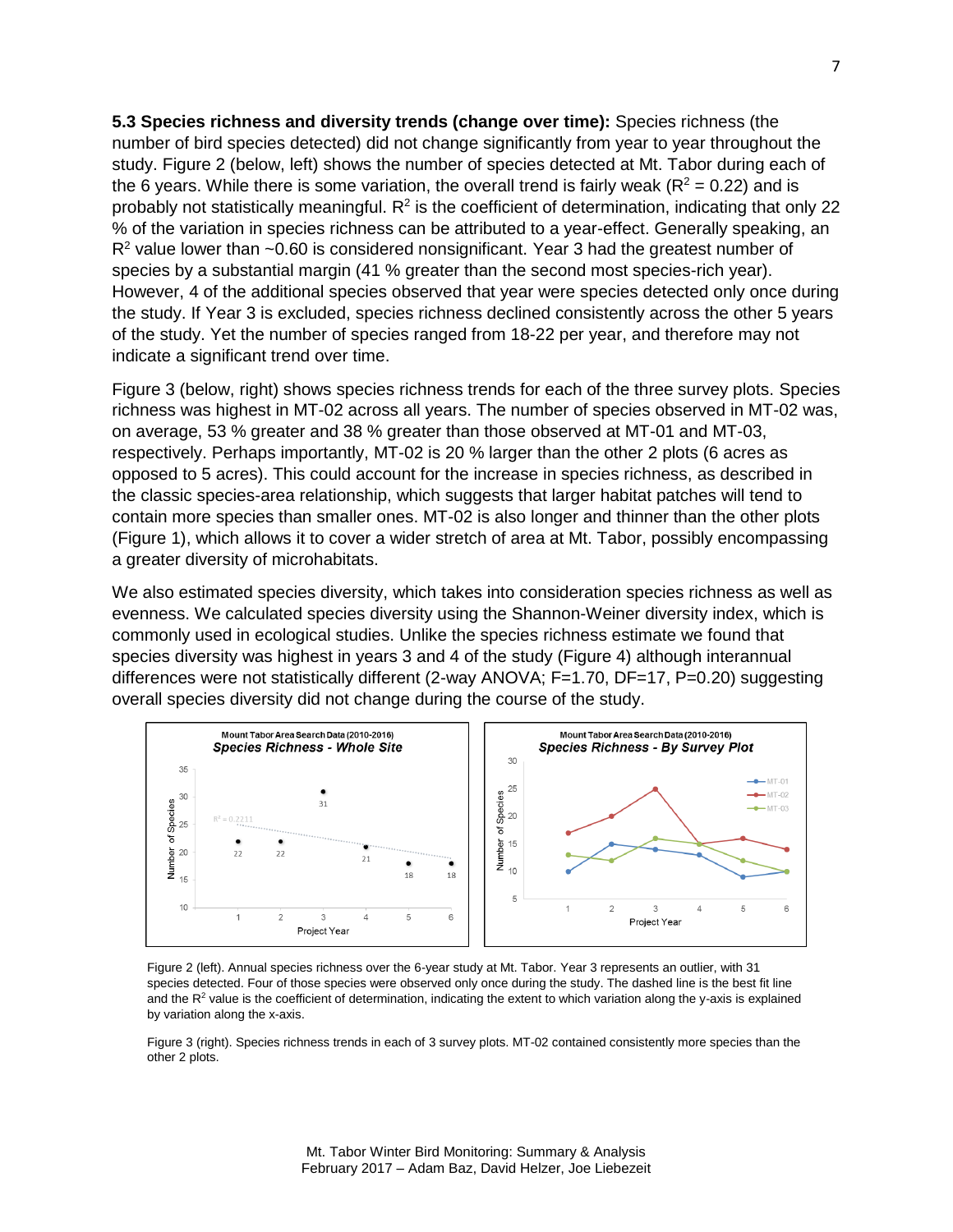**5.3 Species richness and diversity trends (change over time):** Species richness (the number of bird species detected) did not change significantly from year to year throughout the study. Figure 2 (below, left) shows the number of species detected at Mt. Tabor during each of the 6 years. While there is some variation, the overall trend is fairly weak ( $R^2 = 0.22$ ) and is probably not statistically meaningful.  $R^2$  is the coefficient of determination, indicating that only 22 % of the variation in species richness can be attributed to a year-effect. Generally speaking, an  $R<sup>2</sup>$  value lower than  $\sim$  0.60 is considered nonsignificant. Year 3 had the greatest number of species by a substantial margin (41 % greater than the second most species-rich year). However, 4 of the additional species observed that year were species detected only once during the study. If Year 3 is excluded, species richness declined consistently across the other 5 years of the study. Yet the number of species ranged from 18-22 per year, and therefore may not indicate a significant trend over time.

Figure 3 (below, right) shows species richness trends for each of the three survey plots. Species richness was highest in MT-02 across all years. The number of species observed in MT-02 was, on average, 53 % greater and 38 % greater than those observed at MT-01 and MT-03, respectively. Perhaps importantly, MT-02 is 20 % larger than the other 2 plots (6 acres as opposed to 5 acres). This could account for the increase in species richness, as described in the classic species-area relationship, which suggests that larger habitat patches will tend to contain more species than smaller ones. MT-02 is also longer and thinner than the other plots (Figure 1), which allows it to cover a wider stretch of area at Mt. Tabor, possibly encompassing a greater diversity of microhabitats.

We also estimated species diversity, which takes into consideration species richness as well as evenness. We calculated species diversity using the Shannon-Weiner diversity index, which is commonly used in ecological studies. Unlike the species richness estimate we found that species diversity was highest in years 3 and 4 of the study (Figure 4) although interannual differences were not statistically different (2-way ANOVA; F=1.70, DF=17, P=0.20) suggesting overall species diversity did not change during the course of the study.



Figure 2 (left). Annual species richness over the 6-year study at Mt. Tabor. Year 3 represents an outlier, with 31 species detected. Four of those species were observed only once during the study. The dashed line is the best fit line and the  $R<sup>2</sup>$  value is the coefficient of determination, indicating the extent to which variation along the y-axis is explained by variation along the x-axis.

Figure 3 (right). Species richness trends in each of 3 survey plots. MT-02 contained consistently more species than the other 2 plots.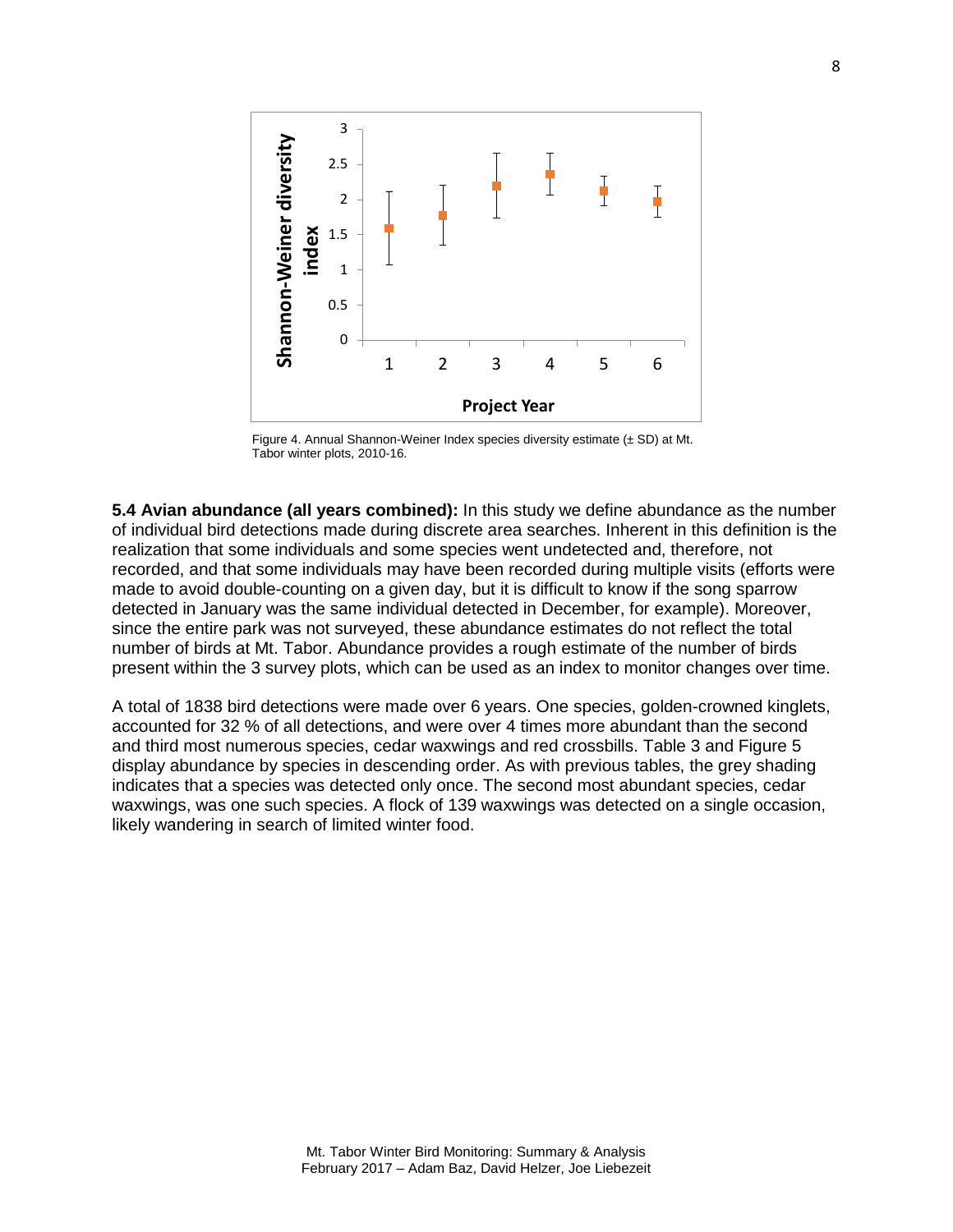

Figure 4. Annual Shannon-Weiner Index species diversity estimate (± SD) at Mt. Tabor winter plots, 2010-16.

**5.4 Avian abundance (all years combined):** In this study we define abundance as the number of individual bird detections made during discrete area searches. Inherent in this definition is the realization that some individuals and some species went undetected and, therefore, not recorded, and that some individuals may have been recorded during multiple visits (efforts were made to avoid double-counting on a given day, but it is difficult to know if the song sparrow detected in January was the same individual detected in December, for example). Moreover, since the entire park was not surveyed, these abundance estimates do not reflect the total number of birds at Mt. Tabor. Abundance provides a rough estimate of the number of birds present within the 3 survey plots, which can be used as an index to monitor changes over time.

A total of 1838 bird detections were made over 6 years. One species, golden-crowned kinglets, accounted for 32 % of all detections, and were over 4 times more abundant than the second and third most numerous species, cedar waxwings and red crossbills. Table 3 and Figure 5 display abundance by species in descending order. As with previous tables, the grey shading indicates that a species was detected only once. The second most abundant species, cedar waxwings, was one such species. A flock of 139 waxwings was detected on a single occasion, likely wandering in search of limited winter food.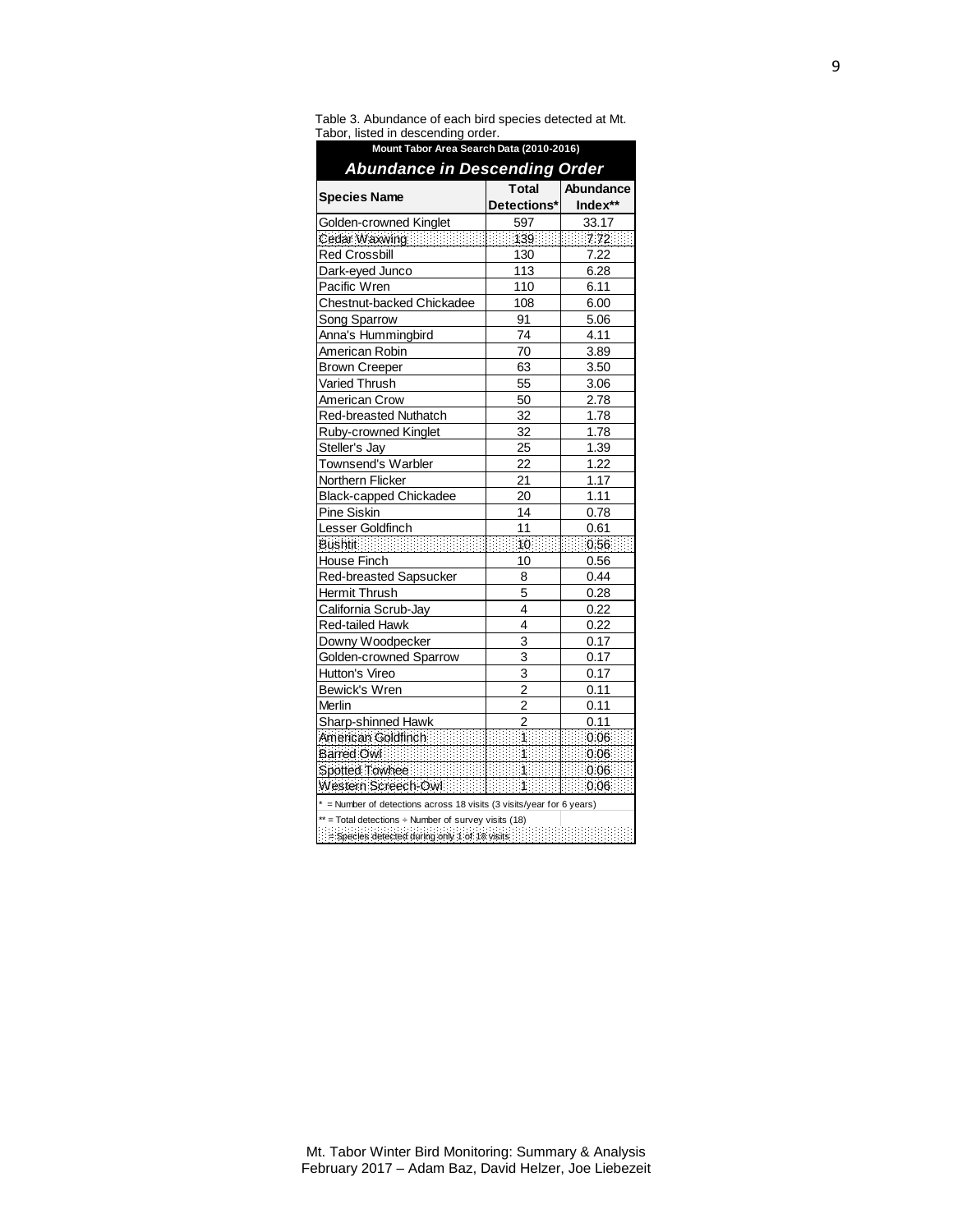| Mount Tabor Area Search Data (2010-2016)                                                                                                                                                                                      |                       |                 |  |
|-------------------------------------------------------------------------------------------------------------------------------------------------------------------------------------------------------------------------------|-----------------------|-----------------|--|
| <b>Abundance in Descending Order</b>                                                                                                                                                                                          |                       |                 |  |
| <b>Species Name</b>                                                                                                                                                                                                           | <b>Total</b>          | Abundance       |  |
|                                                                                                                                                                                                                               | Detections*           | Index**         |  |
| Golden-crowned Kinglet                                                                                                                                                                                                        | 597                   | 33.17           |  |
| Cedar Waxwing                                                                                                                                                                                                                 |                       | 1139 11 772     |  |
| <b>Red Crossbill</b>                                                                                                                                                                                                          | 130                   | 7.22            |  |
| Dark-eyed Junco                                                                                                                                                                                                               | 113                   | 6.28            |  |
| Pacific Wren                                                                                                                                                                                                                  | 110                   | 6.11            |  |
| Chestnut-backed Chickadee                                                                                                                                                                                                     | 108                   | 6.00            |  |
| Song Sparrow                                                                                                                                                                                                                  | 91                    | 5.06            |  |
| Anna's Hummingbird                                                                                                                                                                                                            | 74                    | 4.11            |  |
| American Robin                                                                                                                                                                                                                | 70                    | 3.89            |  |
| <b>Brown Creeper</b>                                                                                                                                                                                                          | 63                    | 3.50            |  |
| Varied Thrush                                                                                                                                                                                                                 | 55                    | 3.06            |  |
| American Crow                                                                                                                                                                                                                 | 50                    | 2.78            |  |
| Red-breasted Nuthatch                                                                                                                                                                                                         | 32                    | 1.78            |  |
| Ruby-crowned Kinglet                                                                                                                                                                                                          | 32                    | 1.78            |  |
| Steller's Jay                                                                                                                                                                                                                 | 25                    | 1.39            |  |
| Townsend's Warbler                                                                                                                                                                                                            | 22                    | 1.22            |  |
| Northern Flicker                                                                                                                                                                                                              | 21                    | 1.17            |  |
| <b>Black-capped Chickadee</b>                                                                                                                                                                                                 | 20                    | 1.11            |  |
| Pine Siskin                                                                                                                                                                                                                   | 14                    | 0.78            |  |
| Lesser Goldfinch                                                                                                                                                                                                              | 11                    | 0.61            |  |
|                                                                                                                                                                                                                               |                       |                 |  |
| House Finch                                                                                                                                                                                                                   | 10                    | 0.56            |  |
| Red-breasted Sapsucker                                                                                                                                                                                                        | 8                     | 0.44            |  |
| Hermit Thrush                                                                                                                                                                                                                 | 5                     | 0.28            |  |
| California Scrub-Jay                                                                                                                                                                                                          | 4                     | 0.22            |  |
| Red-tailed Hawk                                                                                                                                                                                                               | 4                     | 0.22            |  |
| Downy Woodpecker                                                                                                                                                                                                              | 3                     | 0.17            |  |
| Golden-crowned Sparrow                                                                                                                                                                                                        | 3                     | 0.17            |  |
| Hutton's Vireo                                                                                                                                                                                                                | 3                     | 0.17            |  |
| <b>Bewick's Wren</b>                                                                                                                                                                                                          | $\overline{2}$        | 0.11            |  |
| Merlin                                                                                                                                                                                                                        | 2                     | 0.11            |  |
| Sharp-shinned Hawk                                                                                                                                                                                                            | $\overline{2}$        | 0.11            |  |
| American Goldfinch and a state of the state of the contract of the state of the state of the state of the state                                                                                                               |                       |                 |  |
| Barred Owl <b>Election Contains</b>                                                                                                                                                                                           | <b>ERRIT 1999</b>     |                 |  |
| Spotted Townee                                                                                                                                                                                                                | <b>Barbara Barbar</b> | 0.06            |  |
| Western Screech-Owl                                                                                                                                                                                                           | <b>BEEL ALBERT</b>    | $\cdots$ 0.06 : |  |
| * = Number of detections across 18 visits (3 visits/year for 6 years)                                                                                                                                                         |                       |                 |  |
| $**$ = Total detections $\div$ Number of survey visits (18)                                                                                                                                                                   |                       |                 |  |
| Below the contract of the contract of the set of the set of the set of the set of the set of the set of the set of the set of the set of the set of the set of the set of the set of the set of the set of the set of the set |                       |                 |  |

Table 3. Abundance of each bird species detected at Mt. Tabor, listed in descending order.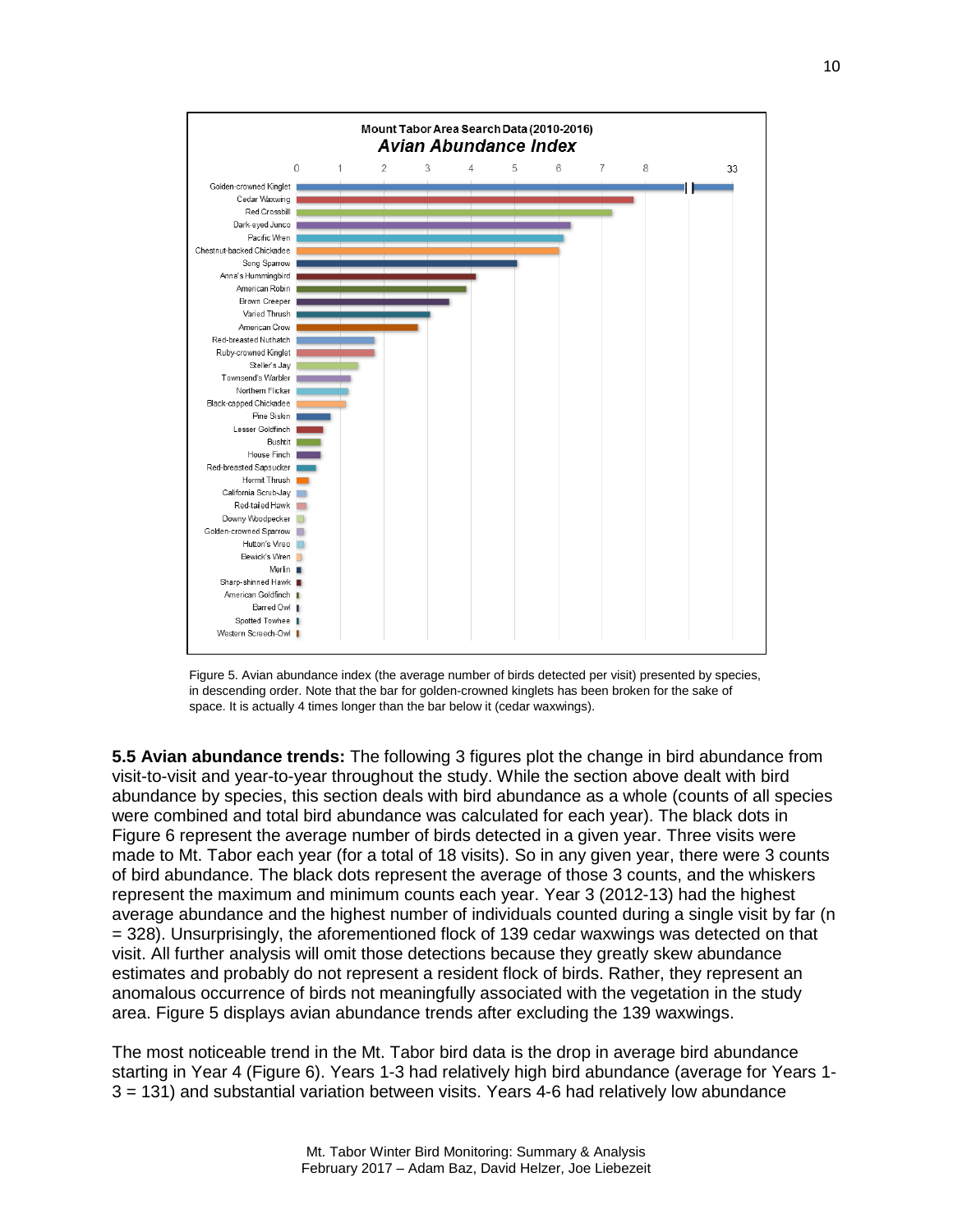

Figure 5. Avian abundance index (the average number of birds detected per visit) presented by species, in descending order. Note that the bar for golden-crowned kinglets has been broken for the sake of space. It is actually 4 times longer than the bar below it (cedar waxwings).

**5.5 Avian abundance trends:** The following 3 figures plot the change in bird abundance from visit-to-visit and year-to-year throughout the study. While the section above dealt with bird abundance by species, this section deals with bird abundance as a whole (counts of all species were combined and total bird abundance was calculated for each year). The black dots in Figure 6 represent the average number of birds detected in a given year. Three visits were made to Mt. Tabor each year (for a total of 18 visits). So in any given year, there were 3 counts of bird abundance. The black dots represent the average of those 3 counts, and the whiskers represent the maximum and minimum counts each year. Year 3 (2012-13) had the highest average abundance and the highest number of individuals counted during a single visit by far (n = 328). Unsurprisingly, the aforementioned flock of 139 cedar waxwings was detected on that visit. All further analysis will omit those detections because they greatly skew abundance estimates and probably do not represent a resident flock of birds. Rather, they represent an anomalous occurrence of birds not meaningfully associated with the vegetation in the study area. Figure 5 displays avian abundance trends after excluding the 139 waxwings.

The most noticeable trend in the Mt. Tabor bird data is the drop in average bird abundance starting in Year 4 (Figure 6). Years 1-3 had relatively high bird abundance (average for Years 1- 3 = 131) and substantial variation between visits. Years 4-6 had relatively low abundance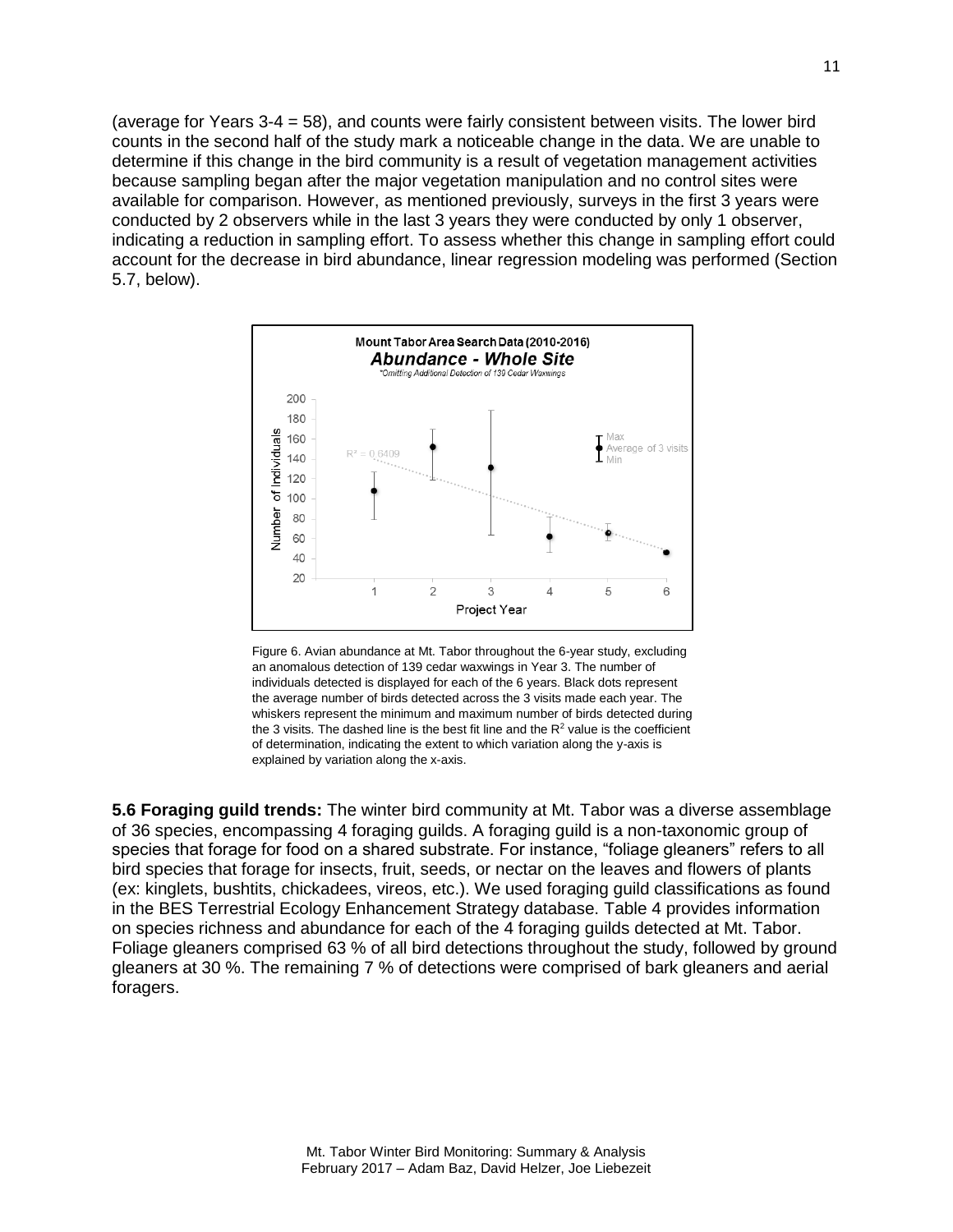(average for Years 3-4 = 58), and counts were fairly consistent between visits. The lower bird counts in the second half of the study mark a noticeable change in the data. We are unable to determine if this change in the bird community is a result of vegetation management activities because sampling began after the major vegetation manipulation and no control sites were available for comparison. However, as mentioned previously, surveys in the first 3 years were conducted by 2 observers while in the last 3 years they were conducted by only 1 observer, indicating a reduction in sampling effort. To assess whether this change in sampling effort could account for the decrease in bird abundance, linear regression modeling was performed (Section 5.7, below).



Figure 6. Avian abundance at Mt. Tabor throughout the 6-year study, excluding an anomalous detection of 139 cedar waxwings in Year 3. The number of individuals detected is displayed for each of the 6 years. Black dots represent the average number of birds detected across the 3 visits made each year. The whiskers represent the minimum and maximum number of birds detected during the 3 visits. The dashed line is the best fit line and the  $R<sup>2</sup>$  value is the coefficient of determination, indicating the extent to which variation along the y-axis is explained by variation along the x-axis.

**5.6 Foraging guild trends:** The winter bird community at Mt. Tabor was a diverse assemblage of 36 species, encompassing 4 foraging guilds. A foraging guild is a non-taxonomic group of species that forage for food on a shared substrate. For instance, "foliage gleaners" refers to all bird species that forage for insects, fruit, seeds, or nectar on the leaves and flowers of plants (ex: kinglets, bushtits, chickadees, vireos, etc.). We used foraging guild classifications as found in the BES Terrestrial Ecology Enhancement Strategy database. Table 4 provides information on species richness and abundance for each of the 4 foraging guilds detected at Mt. Tabor. Foliage gleaners comprised 63 % of all bird detections throughout the study, followed by ground gleaners at 30 %. The remaining 7 % of detections were comprised of bark gleaners and aerial foragers.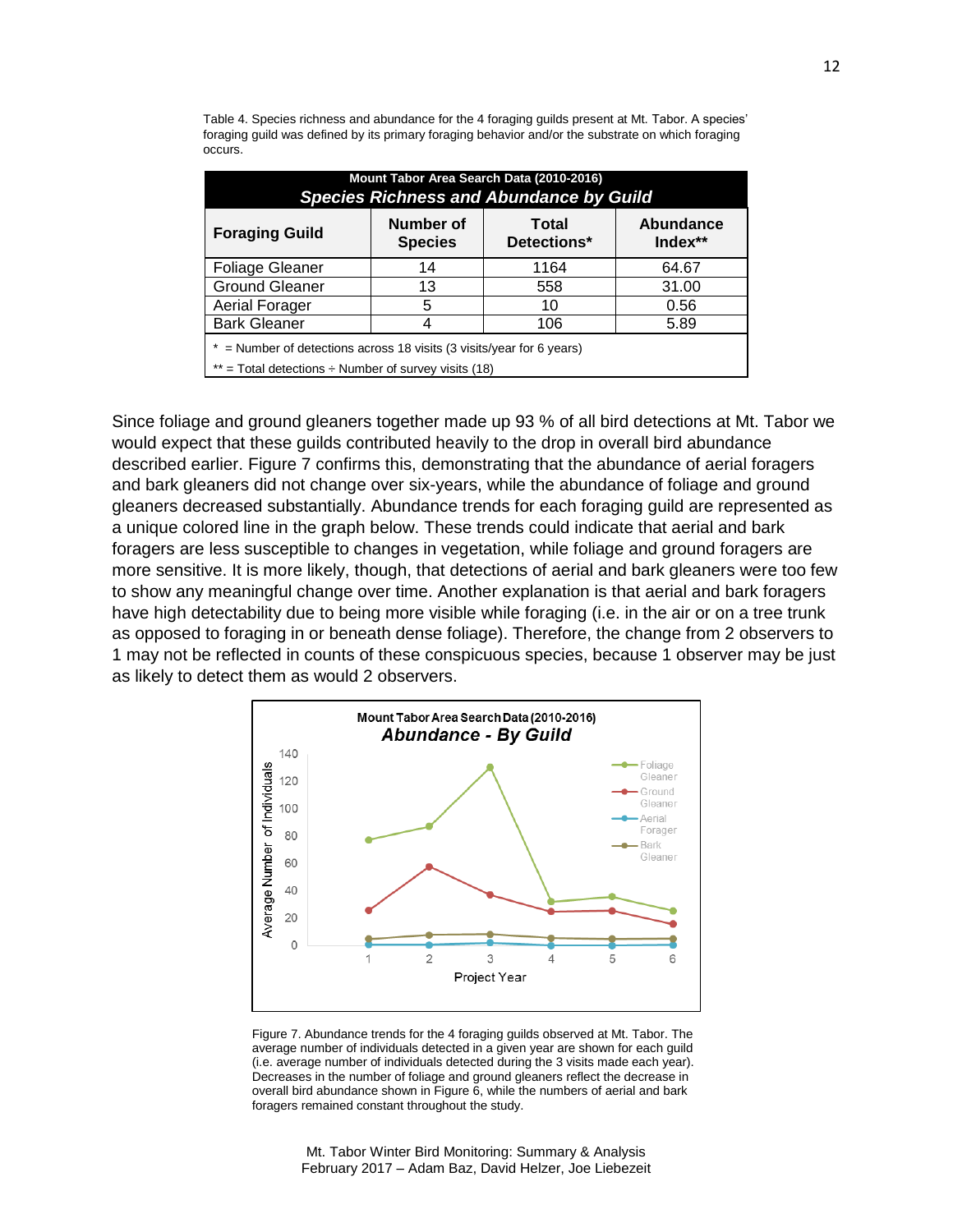Table 4. Species richness and abundance for the 4 foraging guilds present at Mt. Tabor. A species' foraging guild was defined by its primary foraging behavior and/or the substrate on which foraging occurs.

| Mount Tabor Area Search Data (2010-2016)<br><b>Species Richness and Abundance by Guild</b>                                           |                             |                             |                               |  |  |
|--------------------------------------------------------------------------------------------------------------------------------------|-----------------------------|-----------------------------|-------------------------------|--|--|
| <b>Foraging Guild</b>                                                                                                                | Number of<br><b>Species</b> | <b>Total</b><br>Detections* | <b>Abundance</b><br>$Index**$ |  |  |
| <b>Foliage Gleaner</b>                                                                                                               | 14                          | 1164                        | 64.67                         |  |  |
| <b>Ground Gleaner</b>                                                                                                                | 13                          | 558                         | 31.00                         |  |  |
| Aerial Forager                                                                                                                       | 5                           | 10                          | 0.56                          |  |  |
| <b>Bark Gleaner</b>                                                                                                                  |                             | 106                         | 5.89                          |  |  |
| $*$ = Number of detections across 18 visits (3 visits/year for 6 years)<br>** = Total detections $\div$ Number of survey visits (18) |                             |                             |                               |  |  |

Since foliage and ground gleaners together made up 93 % of all bird detections at Mt. Tabor we would expect that these guilds contributed heavily to the drop in overall bird abundance described earlier. Figure 7 confirms this, demonstrating that the abundance of aerial foragers and bark gleaners did not change over six-years, while the abundance of foliage and ground gleaners decreased substantially. Abundance trends for each foraging guild are represented as a unique colored line in the graph below. These trends could indicate that aerial and bark foragers are less susceptible to changes in vegetation, while foliage and ground foragers are more sensitive. It is more likely, though, that detections of aerial and bark gleaners were too few to show any meaningful change over time. Another explanation is that aerial and bark foragers have high detectability due to being more visible while foraging (i.e. in the air or on a tree trunk as opposed to foraging in or beneath dense foliage). Therefore, the change from 2 observers to 1 may not be reflected in counts of these conspicuous species, because 1 observer may be just as likely to detect them as would 2 observers.



Figure 7. Abundance trends for the 4 foraging guilds observed at Mt. Tabor. The average number of individuals detected in a given year are shown for each guild (i.e. average number of individuals detected during the 3 visits made each year). Decreases in the number of foliage and ground gleaners reflect the decrease in overall bird abundance shown in Figure 6, while the numbers of aerial and bark foragers remained constant throughout the study.

Mt. Tabor Winter Bird Monitoring: Summary & Analysis February 2017 – Adam Baz, David Helzer, Joe Liebezeit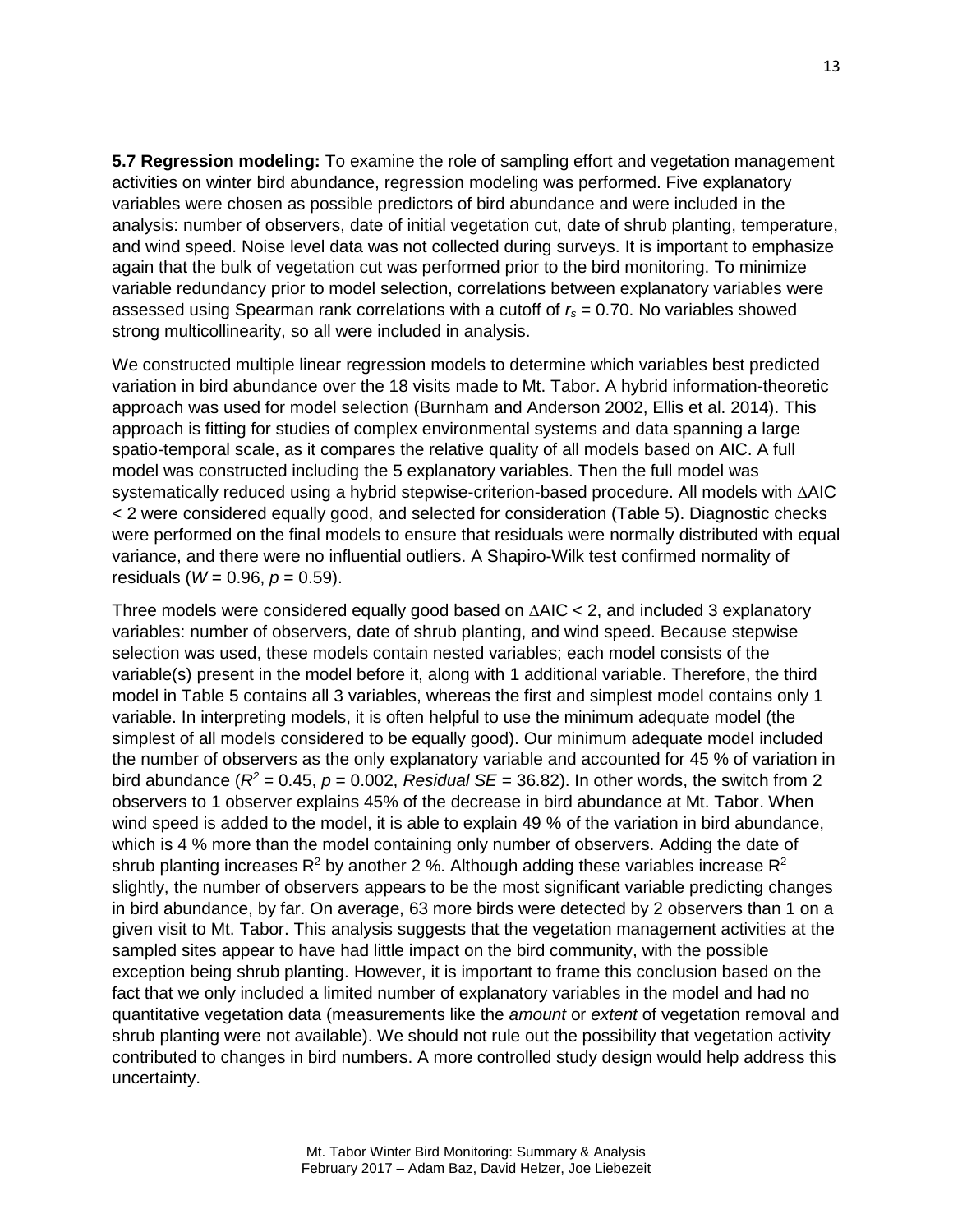**5.7 Regression modeling:** To examine the role of sampling effort and vegetation management activities on winter bird abundance, regression modeling was performed. Five explanatory variables were chosen as possible predictors of bird abundance and were included in the analysis: number of observers, date of initial vegetation cut, date of shrub planting, temperature, and wind speed. Noise level data was not collected during surveys. It is important to emphasize again that the bulk of vegetation cut was performed prior to the bird monitoring. To minimize variable redundancy prior to model selection, correlations between explanatory variables were assessed using Spearman rank correlations with a cutoff of *r<sup>s</sup>* = 0.70. No variables showed strong multicollinearity, so all were included in analysis.

We constructed multiple linear regression models to determine which variables best predicted variation in bird abundance over the 18 visits made to Mt. Tabor. A hybrid information-theoretic approach was used for model selection (Burnham and Anderson 2002, Ellis et al. 2014). This approach is fitting for studies of complex environmental systems and data spanning a large spatio-temporal scale, as it compares the relative quality of all models based on AIC. A full model was constructed including the 5 explanatory variables. Then the full model was systematically reduced using a hybrid stepwise-criterion-based procedure. All models with **∆**AIC < 2 were considered equally good, and selected for consideration (Table 5). Diagnostic checks were performed on the final models to ensure that residuals were normally distributed with equal variance, and there were no influential outliers. A Shapiro-Wilk test confirmed normality of residuals ( $W = 0.96$ ,  $p = 0.59$ ).

Three models were considered equally good based on **∆**AIC < 2, and included 3 explanatory variables: number of observers, date of shrub planting, and wind speed. Because stepwise selection was used, these models contain nested variables; each model consists of the variable(s) present in the model before it, along with 1 additional variable. Therefore, the third model in Table 5 contains all 3 variables, whereas the first and simplest model contains only 1 variable. In interpreting models, it is often helpful to use the minimum adequate model (the simplest of all models considered to be equally good). Our minimum adequate model included the number of observers as the only explanatory variable and accounted for 45 % of variation in bird abundance ( $R^2$  = 0.45,  $p$  = 0.002, *Residual SE* = 36.82). In other words, the switch from 2 observers to 1 observer explains 45% of the decrease in bird abundance at Mt. Tabor. When wind speed is added to the model, it is able to explain 49 % of the variation in bird abundance, which is 4 % more than the model containing only number of observers. Adding the date of shrub planting increases  $R^2$  by another 2 %. Although adding these variables increase  $R^2$ slightly, the number of observers appears to be the most significant variable predicting changes in bird abundance, by far. On average, 63 more birds were detected by 2 observers than 1 on a given visit to Mt. Tabor. This analysis suggests that the vegetation management activities at the sampled sites appear to have had little impact on the bird community, with the possible exception being shrub planting. However, it is important to frame this conclusion based on the fact that we only included a limited number of explanatory variables in the model and had no quantitative vegetation data (measurements like the *amount* or *extent* of vegetation removal and shrub planting were not available). We should not rule out the possibility that vegetation activity contributed to changes in bird numbers. A more controlled study design would help address this uncertainty.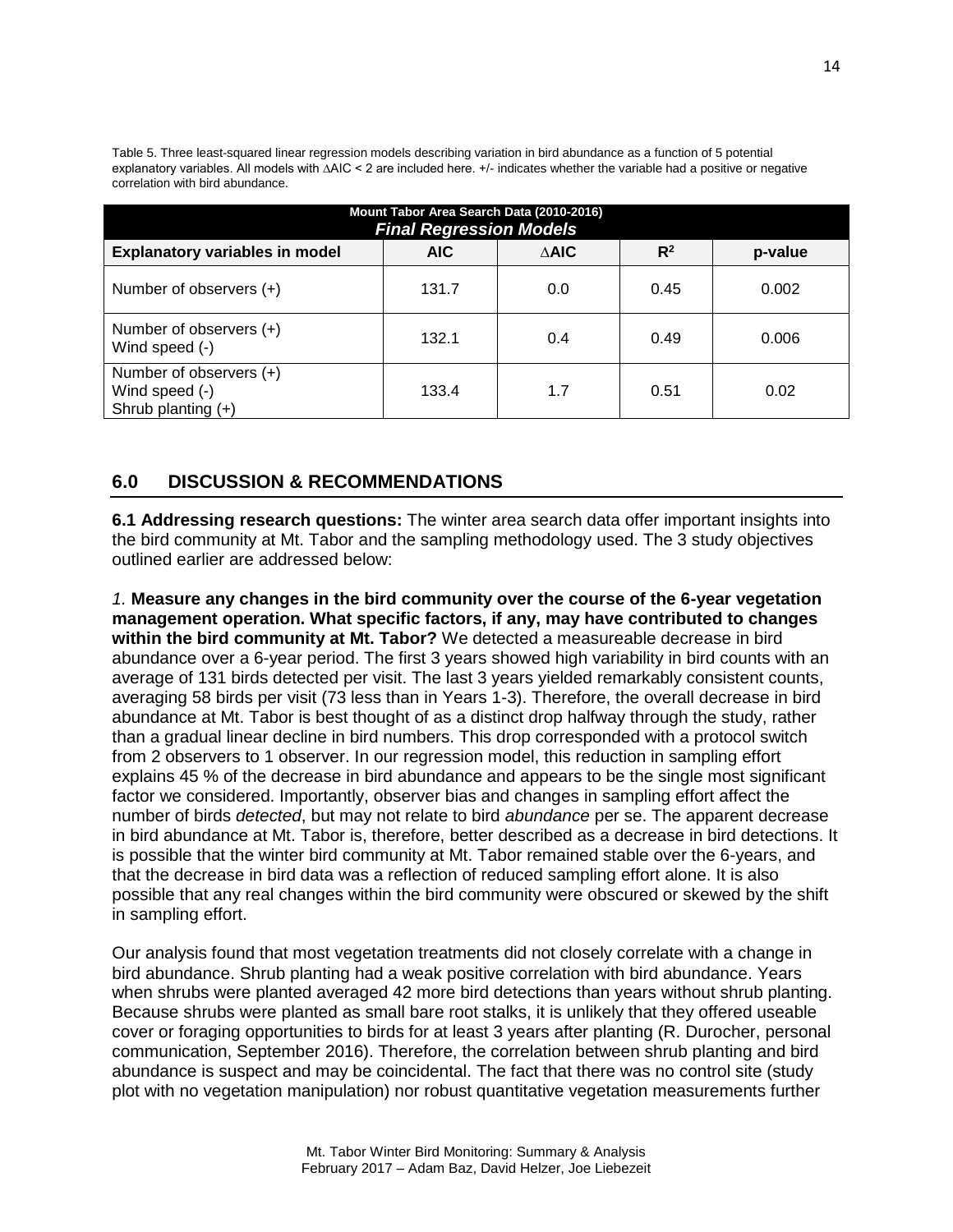Table 5. Three least-squared linear regression models describing variation in bird abundance as a function of 5 potential explanatory variables. All models with ∆AIC < 2 are included here. +/- indicates whether the variable had a positive or negative correlation with bird abundance.

| Mount Tabor Area Search Data (2010-2016)<br><b>Final Regression Models</b> |       |                 |       |         |
|----------------------------------------------------------------------------|-------|-----------------|-------|---------|
| <b>Explanatory variables in model</b>                                      | AIC.  | $\triangle$ AIC | $R^2$ | p-value |
| Number of observers (+)                                                    | 131.7 | 0.0             | 0.45  | 0.002   |
| Number of observers (+)<br>Wind speed (-)                                  | 132.1 | 0.4             | 0.49  | 0.006   |
| Number of observers (+)<br>Wind speed (-)<br>Shrub planting $(+)$          | 133.4 | 1.7             | 0.51  | 0.02    |

#### **6.0 DISCUSSION & RECOMMENDATIONS**

**6.1 Addressing research questions:** The winter area search data offer important insights into the bird community at Mt. Tabor and the sampling methodology used. The 3 study objectives outlined earlier are addressed below:

*1.* **Measure any changes in the bird community over the course of the 6-year vegetation management operation. What specific factors, if any, may have contributed to changes within the bird community at Mt. Tabor?** We detected a measureable decrease in bird abundance over a 6-year period. The first 3 years showed high variability in bird counts with an average of 131 birds detected per visit. The last 3 years yielded remarkably consistent counts, averaging 58 birds per visit (73 less than in Years 1-3). Therefore, the overall decrease in bird abundance at Mt. Tabor is best thought of as a distinct drop halfway through the study, rather than a gradual linear decline in bird numbers. This drop corresponded with a protocol switch from 2 observers to 1 observer. In our regression model, this reduction in sampling effort explains 45 % of the decrease in bird abundance and appears to be the single most significant factor we considered. Importantly, observer bias and changes in sampling effort affect the number of birds *detected*, but may not relate to bird *abundance* per se. The apparent decrease in bird abundance at Mt. Tabor is, therefore, better described as a decrease in bird detections. It is possible that the winter bird community at Mt. Tabor remained stable over the 6-years, and that the decrease in bird data was a reflection of reduced sampling effort alone. It is also possible that any real changes within the bird community were obscured or skewed by the shift in sampling effort.

Our analysis found that most vegetation treatments did not closely correlate with a change in bird abundance. Shrub planting had a weak positive correlation with bird abundance. Years when shrubs were planted averaged 42 more bird detections than years without shrub planting. Because shrubs were planted as small bare root stalks, it is unlikely that they offered useable cover or foraging opportunities to birds for at least 3 years after planting (R. Durocher, personal communication, September 2016). Therefore, the correlation between shrub planting and bird abundance is suspect and may be coincidental. The fact that there was no control site (study plot with no vegetation manipulation) nor robust quantitative vegetation measurements further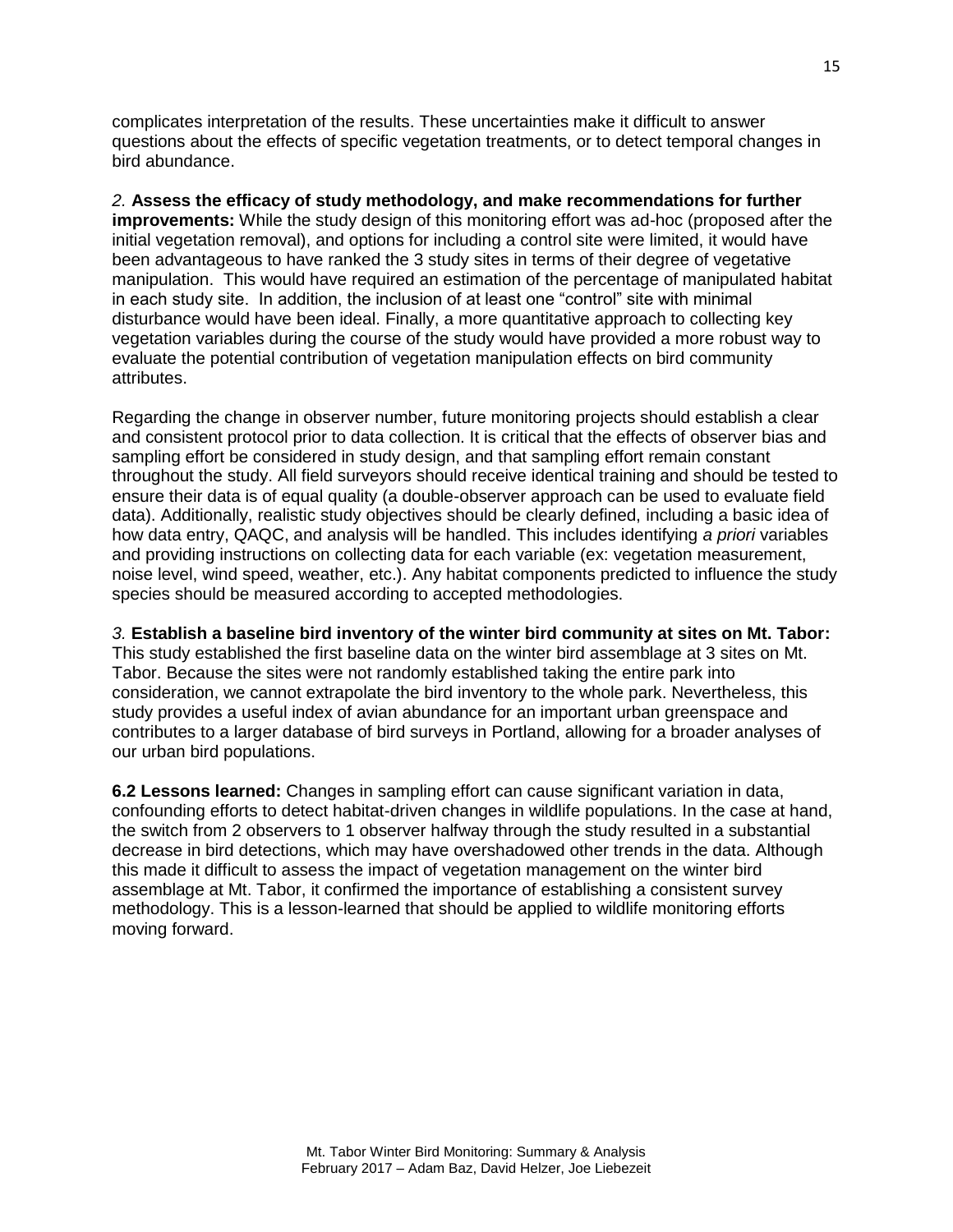complicates interpretation of the results. These uncertainties make it difficult to answer questions about the effects of specific vegetation treatments, or to detect temporal changes in bird abundance.

*2.* **Assess the efficacy of study methodology, and make recommendations for further improvements:** While the study design of this monitoring effort was ad-hoc (proposed after the initial vegetation removal), and options for including a control site were limited, it would have been advantageous to have ranked the 3 study sites in terms of their degree of vegetative manipulation. This would have required an estimation of the percentage of manipulated habitat in each study site. In addition, the inclusion of at least one "control" site with minimal disturbance would have been ideal. Finally, a more quantitative approach to collecting key vegetation variables during the course of the study would have provided a more robust way to evaluate the potential contribution of vegetation manipulation effects on bird community attributes.

Regarding the change in observer number, future monitoring projects should establish a clear and consistent protocol prior to data collection. It is critical that the effects of observer bias and sampling effort be considered in study design, and that sampling effort remain constant throughout the study. All field surveyors should receive identical training and should be tested to ensure their data is of equal quality (a double-observer approach can be used to evaluate field data). Additionally, realistic study objectives should be clearly defined, including a basic idea of how data entry, QAQC, and analysis will be handled. This includes identifying *a priori* variables and providing instructions on collecting data for each variable (ex: vegetation measurement, noise level, wind speed, weather, etc.). Any habitat components predicted to influence the study species should be measured according to accepted methodologies.

#### *3.* **Establish a baseline bird inventory of the winter bird community at sites on Mt. Tabor:**

This study established the first baseline data on the winter bird assemblage at 3 sites on Mt. Tabor. Because the sites were not randomly established taking the entire park into consideration, we cannot extrapolate the bird inventory to the whole park. Nevertheless, this study provides a useful index of avian abundance for an important urban greenspace and contributes to a larger database of bird surveys in Portland, allowing for a broader analyses of our urban bird populations.

**6.2 Lessons learned:** Changes in sampling effort can cause significant variation in data, confounding efforts to detect habitat-driven changes in wildlife populations. In the case at hand, the switch from 2 observers to 1 observer halfway through the study resulted in a substantial decrease in bird detections, which may have overshadowed other trends in the data. Although this made it difficult to assess the impact of vegetation management on the winter bird assemblage at Mt. Tabor, it confirmed the importance of establishing a consistent survey methodology. This is a lesson-learned that should be applied to wildlife monitoring efforts moving forward.